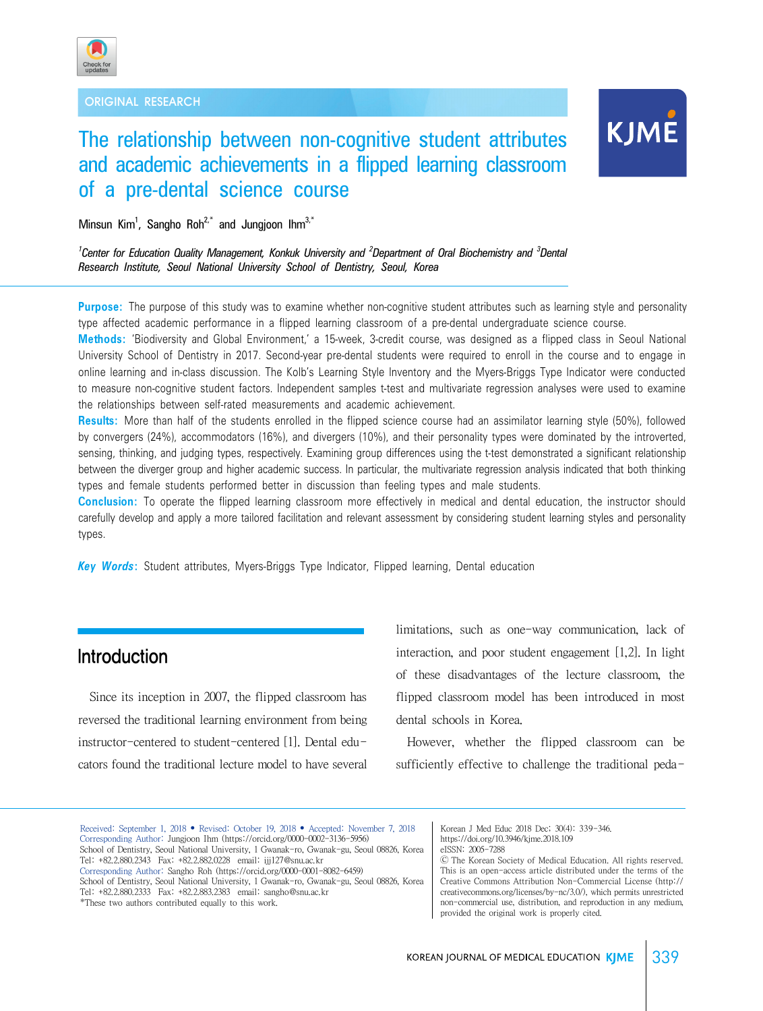



# The relationship between non-cognitive student attributes and academic achievements in a flipped learning classroom of a pre-dental science course

Minsun Kim<sup>1</sup>, Sangho Roh<sup>2,\*</sup> and Jungjoon Ihm<sup>3,\*</sup>

*1 Center for Education Quality Management, Konkuk University and <sup>2</sup> Department of Oral Biochemistry and <sup>3</sup> Dental Research Institute, Seoul National University School of Dentistry, Seoul, Korea*

**Purpose:** The purpose of this study was to examine whether non-cognitive student attributes such as learning style and personality type affected academic performance in a flipped learning classroom of a pre-dental undergraduate science course.

**Methods:** 'Biodiversity and Global Environment,' a 15-week, 3-credit course, was designed as a flipped class in Seoul National University School of Dentistry in 2017. Second-year pre-dental students were required to enroll in the course and to engage in online learning and in-class discussion. The Kolb's Learning Style Inventory and the Myers-Briggs Type Indicator were conducted to measure non-cognitive student factors. Independent samples t-test and multivariate regression analyses were used to examine the relationships between self-rated measurements and academic achievement.

**Results:** More than half of the students enrolled in the flipped science course had an assimilator learning style (50%), followed by convergers (24%), accommodators (16%), and divergers (10%), and their personality types were dominated by the introverted, sensing, thinking, and judging types, respectively. Examining group differences using the t-test demonstrated a significant relationship between the diverger group and higher academic success. In particular, the multivariate regression analysis indicated that both thinking types and female students performed better in discussion than feeling types and male students.

**Conclusion:** To operate the flipped learning classroom more effectively in medical and dental education, the instructor should carefully develop and apply a more tailored facilitation and relevant assessment by considering student learning styles and personality types.

*Key Words***:** Student attributes, Myers-Briggs Type Indicator, Flipped learning, Dental education

## Introduction

 Since its inception in 2007, the flipped classroom has reversed the traditional learning environment from being instructor-centered to student-centered [1]. Dental educators found the traditional lecture model to have several limitations, such as one-way communication, lack of interaction, and poor student engagement [1,2]. In light of these disadvantages of the lecture classroom, the flipped classroom model has been introduced in most dental schools in Korea.

 However, whether the flipped classroom can be sufficiently effective to challenge the traditional peda-

Received: September 1, 2018 • Revised: October 19, 2018 • Accepted: November 7, 2018 Corresponding Author: Jungjoon Ihm (https://orcid.org/0000-0002-3136-5956) School of Dentistry, Seoul National University, 1 Gwanak-ro, Gwanak-gu, Seoul 08826, Korea Tel: +82.2.880.2343 Fax: +82.2.882.0228 email: ijj127@snu.ac.kr Corresponding Author: Sangho Roh (https://orcid.org/0000-0001-8082-6459) School of Dentistry, Seoul National University, 1 Gwanak-ro, Gwanak-gu, Seoul 08826, Korea Tel: +82.2.880.2333 Fax: +82.2.883.2383 email: sangho@snu.ac.kr \*These two authors contributed equally to this work.

Korean J Med Educ 2018 Dec; 30(4): 339-346. https://doi.org/10.3946/kjme.2018.109 eISSN: 2005-7288

Ⓒ The Korean Society of Medical Education. All rights reserved. This is an open-access article distributed under the terms of the Creative Commons Attribution Non-Commercial License (http:// creativecommons.org/licenses/by-nc/3.0/), which permits unrestricted non-commercial use, distribution, and reproduction in any medium, provided the original work is properly cited.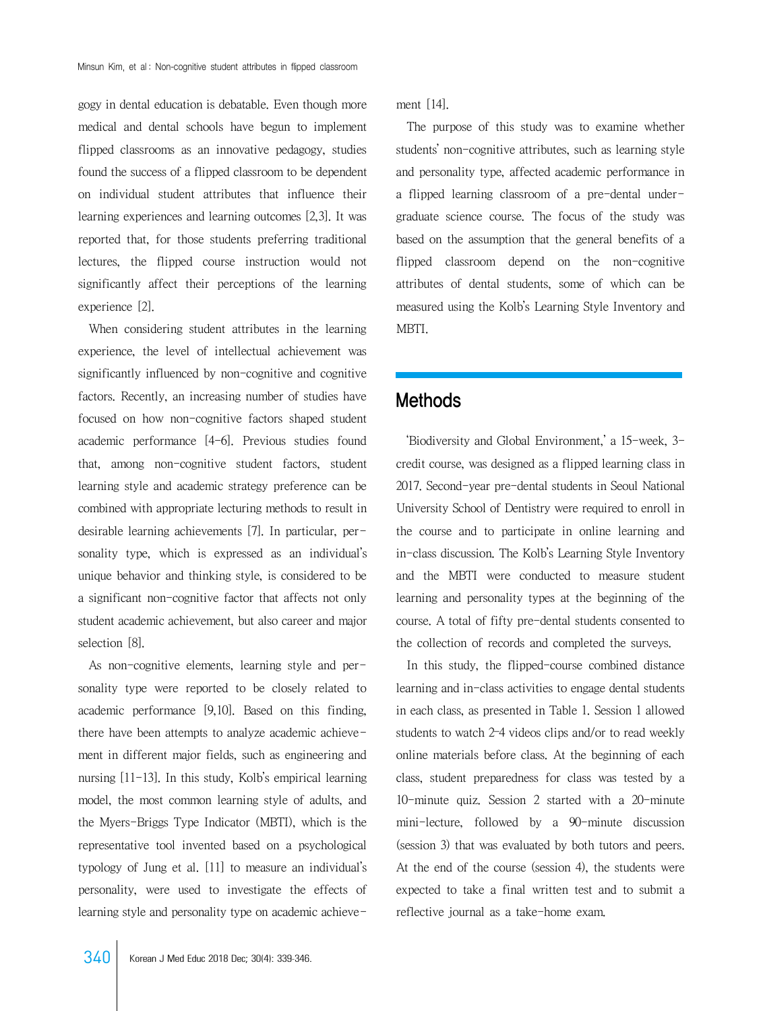gogy in dental education is debatable. Even though more medical and dental schools have begun to implement flipped classrooms as an innovative pedagogy, studies found the success of a flipped classroom to be dependent on individual student attributes that influence their learning experiences and learning outcomes [2,3]. It was reported that, for those students preferring traditional lectures, the flipped course instruction would not significantly affect their perceptions of the learning experience [2].

 When considering student attributes in the learning experience, the level of intellectual achievement was significantly influenced by non-cognitive and cognitive factors. Recently, an increasing number of studies have focused on how non-cognitive factors shaped student academic performance [4-6]. Previous studies found that, among non-cognitive student factors, student learning style and academic strategy preference can be combined with appropriate lecturing methods to result in desirable learning achievements [7]. In particular, personality type, which is expressed as an individual's unique behavior and thinking style, is considered to be a significant non-cognitive factor that affects not only student academic achievement, but also career and major selection [8].

 As non-cognitive elements, learning style and personality type were reported to be closely related to academic performance [9,10]. Based on this finding, there have been attempts to analyze academic achievement in different major fields, such as engineering and nursing [11-13]. In this study, Kolb's empirical learning model, the most common learning style of adults, and the Myers-Briggs Type Indicator (MBTI), which is the representative tool invented based on a psychological typology of Jung et al. [11] to measure an individual's personality, were used to investigate the effects of learning style and personality type on academic achieve-

 $340$  Korean J Med Educ 2018 Dec:  $30(4)$ :  $339-346$ .

ment [14].

 The purpose of this study was to examine whether students' non-cognitive attributes, such as learning style and personality type, affected academic performance in a flipped learning classroom of a pre-dental undergraduate science course. The focus of the study was based on the assumption that the general benefits of a flipped classroom depend on the non-cognitive attributes of dental students, some of which can be measured using the Kolb's Learning Style Inventory and MBTI.

## Methods

 'Biodiversity and Global Environment,' a 15-week, 3 credit course, was designed as a flipped learning class in 2017. Second-year pre-dental students in Seoul National University School of Dentistry were required to enroll in the course and to participate in online learning and in-class discussion. The Kolb's Learning Style Inventory and the MBTI were conducted to measure student learning and personality types at the beginning of the course. A total of fifty pre-dental students consented to the collection of records and completed the surveys.

 In this study, the flipped-course combined distance learning and in-class activities to engage dental students in each class, as presented in Table 1. Session 1 allowed students to watch 2–4 videos clips and/or to read weekly online materials before class. At the beginning of each class, student preparedness for class was tested by a 10-minute quiz. Session 2 started with a 20-minute mini-lecture, followed by a 90-minute discussion (session 3) that was evaluated by both tutors and peers. At the end of the course (session 4), the students were expected to take a final written test and to submit a reflective journal as a take-home exam.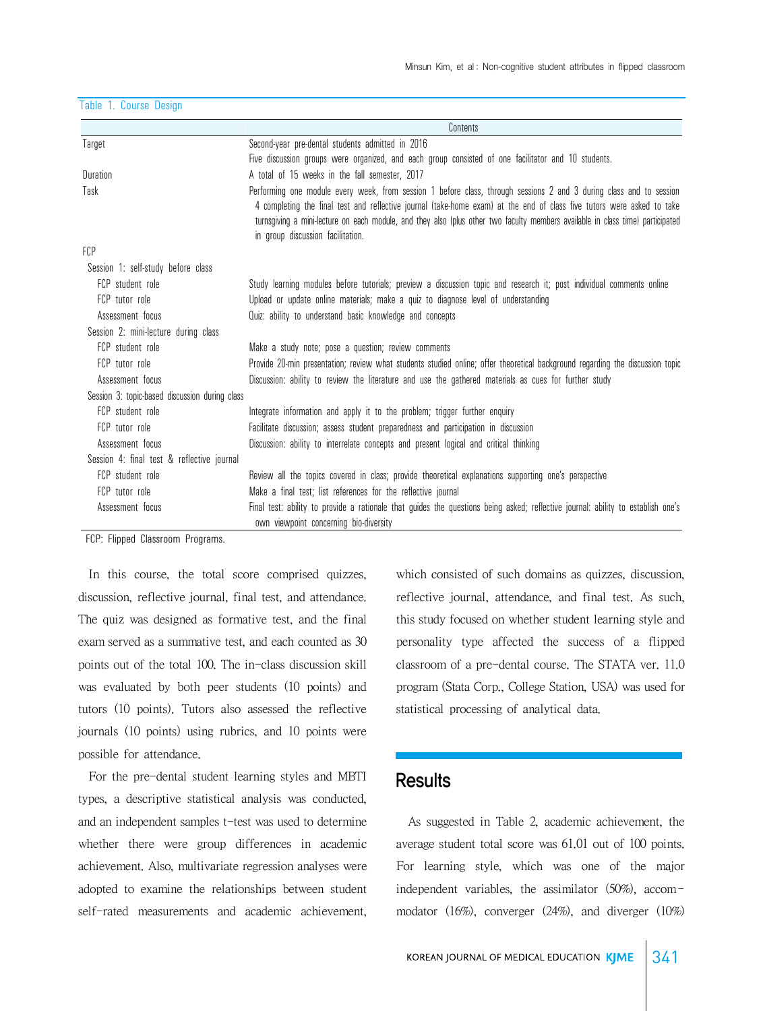|                                                | Contents                                                                                                                                                                                                                                                                                                                                                                                                             |
|------------------------------------------------|----------------------------------------------------------------------------------------------------------------------------------------------------------------------------------------------------------------------------------------------------------------------------------------------------------------------------------------------------------------------------------------------------------------------|
| Target                                         | Second-year pre-dental students admitted in 2016                                                                                                                                                                                                                                                                                                                                                                     |
|                                                | Five discussion groups were organized, and each group consisted of one facilitator and 10 students.                                                                                                                                                                                                                                                                                                                  |
| Duration                                       | A total of 15 weeks in the fall semester, 2017                                                                                                                                                                                                                                                                                                                                                                       |
| Task                                           | Performing one module every week, from session 1 before class, through sessions 2 and 3 during class and to session<br>4 completing the final test and reflective journal (take-home exam) at the end of class five tutors were asked to take<br>turnsgiving a mini-lecture on each module, and they also (plus other two faculty members available in class time) participated<br>in group discussion facilitation. |
| <b>FCP</b>                                     |                                                                                                                                                                                                                                                                                                                                                                                                                      |
| Session 1: self-study before class             |                                                                                                                                                                                                                                                                                                                                                                                                                      |
| FCP student role                               | Study learning modules before tutorials; preview a discussion topic and research it; post individual comments online                                                                                                                                                                                                                                                                                                 |
| FCP tutor role                                 | Upload or update online materials; make a quiz to diagnose level of understanding                                                                                                                                                                                                                                                                                                                                    |
| Assessment focus                               | Quiz: ability to understand basic knowledge and concepts                                                                                                                                                                                                                                                                                                                                                             |
| Session 2: mini-lecture during class           |                                                                                                                                                                                                                                                                                                                                                                                                                      |
| FCP student role                               | Make a study note; pose a question; review comments                                                                                                                                                                                                                                                                                                                                                                  |
| FCP tutor role                                 | Provide 20-min presentation; review what students studied online; offer theoretical background regarding the discussion topic                                                                                                                                                                                                                                                                                        |
| Assessment focus                               | Discussion: ability to review the literature and use the gathered materials as cues for further study                                                                                                                                                                                                                                                                                                                |
| Session 3: topic-based discussion during class |                                                                                                                                                                                                                                                                                                                                                                                                                      |
| FCP student role                               | Integrate information and apply it to the problem; trigger further enquiry                                                                                                                                                                                                                                                                                                                                           |
| FCP tutor role                                 | Facilitate discussion; assess student preparedness and participation in discussion                                                                                                                                                                                                                                                                                                                                   |
| Assessment focus                               | Discussion: ability to interrelate concepts and present logical and critical thinking                                                                                                                                                                                                                                                                                                                                |
| Session 4: final test & reflective journal     |                                                                                                                                                                                                                                                                                                                                                                                                                      |
| FCP student role                               | Review all the topics covered in class; provide theoretical explanations supporting one's perspective                                                                                                                                                                                                                                                                                                                |
| FCP tutor role                                 | Make a final test; list references for the reflective journal                                                                                                                                                                                                                                                                                                                                                        |
| Assessment focus                               | Final test: ability to provide a rationale that guides the questions being asked; reflective journal: ability to establish one's<br>own viewpoint concerning bio-diversity                                                                                                                                                                                                                                           |

Table 1. Course Design

FCP: Flipped Classroom Programs.

 In this course, the total score comprised quizzes, discussion, reflective journal, final test, and attendance. The quiz was designed as formative test, and the final exam served as a summative test, and each counted as 30 points out of the total 100. The in-class discussion skill was evaluated by both peer students (10 points) and tutors (10 points). Tutors also assessed the reflective journals (10 points) using rubrics, and 10 points were possible for attendance.

 For the pre-dental student learning styles and MBTI types, a descriptive statistical analysis was conducted, and an independent samples t-test was used to determine whether there were group differences in academic achievement. Also, multivariate regression analyses were adopted to examine the relationships between student self-rated measurements and academic achievement,

which consisted of such domains as quizzes, discussion, reflective journal, attendance, and final test. As such, this study focused on whether student learning style and personality type affected the success of a flipped classroom of a pre-dental course. The STATA ver. 11.0 program (Stata Corp., College Station, USA) was used for statistical processing of analytical data.

### **Results**

 As suggested in Table 2, academic achievement, the average student total score was 61.01 out of 100 points. For learning style, which was one of the major independent variables, the assimilator (50%), accommodator (16%), converger (24%), and diverger (10%)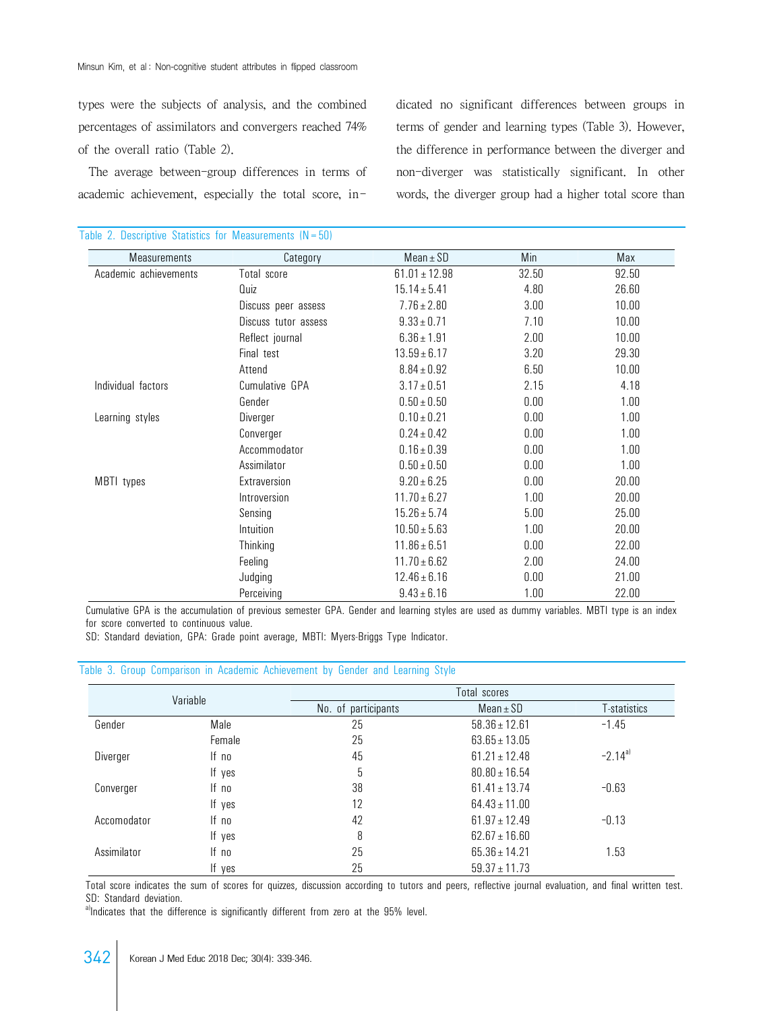types were the subjects of analysis, and the combined percentages of assimilators and convergers reached 74% of the overall ratio (Table 2).

 The average between-group differences in terms of academic achievement, especially the total score, indicated no significant differences between groups in terms of gender and learning types (Table 3). However, the difference in performance between the diverger and non-diverger was statistically significant. In other words, the diverger group had a higher total score than

| <b>Measurements</b>   | Category             | $Mean \pm SD$     | Min   | Max   |
|-----------------------|----------------------|-------------------|-------|-------|
| Academic achievements | Total score          | $61.01 \pm 12.98$ | 32.50 | 92.50 |
|                       | Quiz                 | $15.14 \pm 5.41$  | 4.80  | 26.60 |
|                       | Discuss peer assess  | $7.76 \pm 2.80$   | 3.00  | 10.00 |
|                       | Discuss tutor assess | $9.33 \pm 0.71$   | 7.10  | 10.00 |
|                       | Reflect journal      | $6.36 \pm 1.91$   | 2.00  | 10.00 |
|                       | Final test           | $13.59 \pm 6.17$  | 3.20  | 29.30 |
|                       | Attend               | $8.84 \pm 0.92$   | 6.50  | 10.00 |
| Individual factors    | Cumulative GPA       | $3.17 \pm 0.51$   | 2.15  | 4.18  |
|                       | Gender               | $0.50 \pm 0.50$   | 0.00  | 1.00  |
| Learning styles       | Diverger             | $0.10 \pm 0.21$   | 0.00  | 1.00  |
|                       | Converger            | $0.24 \pm 0.42$   | 0.00  | 1.00  |
|                       | Accommodator         | $0.16 \pm 0.39$   | 0.00  | 1.00  |
|                       | Assimilator          | $0.50 \pm 0.50$   | 0.00  | 1.00  |
| MBTI types            | Extraversion         | $9.20 \pm 6.25$   | 0.00  | 20.00 |
|                       | Introversion         | $11.70 \pm 6.27$  | 1.00  | 20.00 |
|                       | Sensing              | $15.26 \pm 5.74$  | 5.00  | 25.00 |
|                       | Intuition            | $10.50 \pm 5.63$  | 1.00  | 20.00 |
|                       | Thinking             | $11.86 \pm 6.51$  | 0.00  | 22.00 |
|                       | Feeling              | $11.70 \pm 6.62$  | 2.00  | 24.00 |
|                       | Judging              | $12.46 \pm 6.16$  | 0.00  | 21.00 |
|                       | Perceiving           | $9.43 \pm 6.16$   | 1.00  | 22.00 |

#### Table 2. Descriptive Statistics for Measurements  $(N=50)$

Cumulative GPA is the accumulation of previous semester GPA. Gender and learning styles are used as dummy variables. MBTI type is an index for score converted to continuous value.

SD: Standard deviation, GPA: Grade point average, MBTI: Myers-Briggs Type Indicator.

#### Table 3. Group Comparison in Academic Achievement by Gender and Learning Style

| Variable    |        | Total scores        |                   |              |  |  |
|-------------|--------|---------------------|-------------------|--------------|--|--|
|             |        | No. of participants | $Mean \pm SD$     | T-statistics |  |  |
| Gender      | Male   | 25                  | $58.36 \pm 12.61$ | $-1.45$      |  |  |
|             | Female | 25                  | $63.65 \pm 13.05$ |              |  |  |
| Diverger    | If no  | 45                  | $61.21 \pm 12.48$ | $-2.14a$     |  |  |
|             | If yes | 5                   | $80.80 \pm 16.54$ |              |  |  |
| Converger   | If no  | 38                  | $61.41 \pm 13.74$ | $-0.63$      |  |  |
|             | If yes | 12                  | $64.43 \pm 11.00$ |              |  |  |
| Accomodator | If no  | 42                  | $61.97 \pm 12.49$ | $-0.13$      |  |  |
|             | If yes | 8                   | $62.67 \pm 16.60$ |              |  |  |
| Assimilator | If no  | 25                  | $65.36 \pm 14.21$ | 1.53         |  |  |
|             | If yes | 25                  | $59.37 \pm 11.73$ |              |  |  |

Total score indicates the sum of scores for quizzes, discussion according to tutors and peers, reflective journal evaluation, and final written test. SD: Standard deviation.

a)Indicates that the difference is significantly different from zero at the 95% level.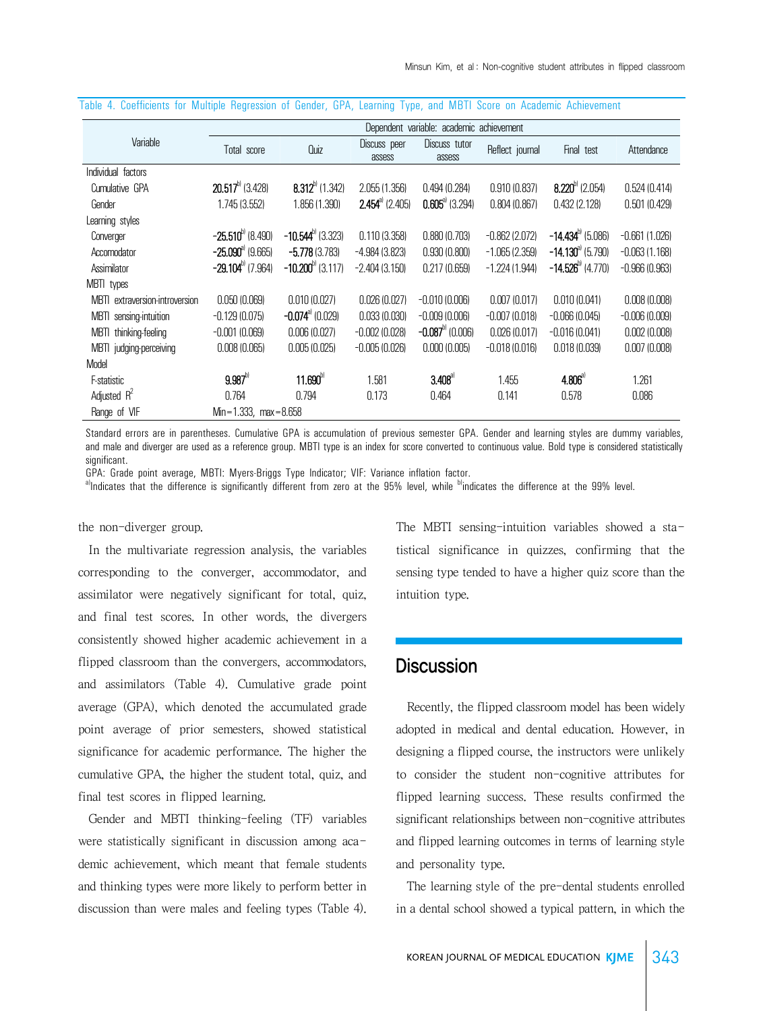|                                | Dependent variable: academic achievement |                                |                         |                          |                 |                              |                 |
|--------------------------------|------------------------------------------|--------------------------------|-------------------------|--------------------------|-----------------|------------------------------|-----------------|
| Variable                       | Total score                              | Quiz                           | Discuss peer<br>assess  | Discuss tutor<br>assess  | Reflect journal | Final test                   | Attendance      |
| Individual factors             |                                          |                                |                         |                          |                 |                              |                 |
| Cumulative GPA                 | $20.517^{\circ}$ (3.428)                 | $8.312^{b}$ (1.342)            | 2.055(1.356)            | 0.494(0.284)             | 0.910(0.837)    | $8.220^{b}$ (2.054)          | 0.524(0.414)    |
| Gender                         | 1.745 (3.552)                            | 1.856 (1.390)                  | $2.454^{\circ}$ (2.405) | $0.605^{\circ}$ (3.294)  | 0.804(0.867)    | 0.432(2.128)                 | 0.501(0.429)    |
| Learning styles                |                                          |                                |                         |                          |                 |                              |                 |
| Converger                      | $-25.510^{b}$ (8.490)                    | $-10.544^{\text{b}}$ (3.323)   | 0.110(3.358)            | 0.880(0.703)             | $-0.862(2.072)$ | $-14.434^{\text{b}}$ (5.086) | $-0.661(1.026)$ |
| Accomodator                    | $-25.090^{\circ}$ (9.665)                | $-5.778(3.783)$                | $-4.984(3.823)$         | 0.930(0.800)             | $-1.065(2.359)$ | $-14.130^{\circ}$ (5.790)    | $-0.063(1.168)$ |
| Assimilator                    | $-29.104^{b}$ (7.964)                    | $-10.200^{b}$ (3.117)          | $-2.404(3.150)$         | 0.217(0.659)             | $-1.224(1.944)$ | $-14.526^{\text{b}}$ (4.770) | $-0.966(0.963)$ |
| MBTI types                     |                                          |                                |                         |                          |                 |                              |                 |
| MBTL extraversion-introversion | 0.050(0.069)                             | 0.010(0.027)                   | 0.026(0.027)            | $-0.010(0.006)$          | 0.007(0.017)    | 0.010(0.041)                 | 0.008(0.008)    |
| sensing-intuition<br>mbti      | $-0.129(0.075)$                          | $-0.074$ <sup>a)</sup> (0.029) | 0.033(0.030)            | $-0.009(0.006)$          | $-0.007(0.018)$ | $-0.066(0.045)$              | $-0.006(0.009)$ |
| MBTI thinking-feeling          | $-0.001(0.069)$                          | 0.006(0.027)                   | $-0.002(0.028)$         | $-0.087^{\circ}$ (0.006) | 0.026(0.017)    | $-0.016(0.041)$              | 0.002(0.008)    |
| MBTI judging-perceiving        | 0.008(0.065)                             | 0.005(0.025)                   | $-0.005(0.026)$         | 0.000(0.005)             | $-0.018(0.016)$ | 0.018(0.039)                 | 0.007(0.008)    |
| Model                          |                                          |                                |                         |                          |                 |                              |                 |
| F-statistic                    | $9.987^{b}$                              | $11.690^{\circ}$               | 1.581                   | $3.408^{4}$              | 1.455           | $4.806^{\circ}$              | 1.261           |
| Adjusted $R^2$                 | 0.764                                    | 0.794                          | 0.173                   | 0.464                    | 0.141           | 0.578                        | 0.086           |
| Range of VIF                   | $Min = 1.333$ , $max = 8.658$            |                                |                         |                          |                 |                              |                 |

#### Table 4. Coefficients for Multiple Regression of Gender, GPA, Learning Type, and MBTI Score on Academic Achievement

Standard errors are in parentheses. Cumulative GPA is accumulation of previous semester GPA. Gender and learning styles are dummy variables, and male and diverger are used as a reference group. MBTI type is an index for score converted to continuous value. Bold type is considered statistically sinnificant

GPA: Grade point average, MBTI: Myers-Briggs Type Indicator; VIF: Variance inflation factor.

a)Indicates that the difference is significantly different from zero at the 95% level, while <sup>b</sup>indicates the difference at the 99% level.

the non-diverger group.

 In the multivariate regression analysis, the variables corresponding to the converger, accommodator, and assimilator were negatively significant for total, quiz, and final test scores. In other words, the divergers consistently showed higher academic achievement in a flipped classroom than the convergers, accommodators, and assimilators (Table 4). Cumulative grade point average (GPA), which denoted the accumulated grade point average of prior semesters, showed statistical significance for academic performance. The higher the cumulative GPA, the higher the student total, quiz, and final test scores in flipped learning.

 Gender and MBTI thinking-feeling (TF) variables were statistically significant in discussion among academic achievement, which meant that female students and thinking types were more likely to perform better in discussion than were males and feeling types (Table 4). The MBTI sensing-intuition variables showed a statistical significance in quizzes, confirming that the sensing type tended to have a higher quiz score than the intuition type.

# **Discussion**

 Recently, the flipped classroom model has been widely adopted in medical and dental education. However, in designing a flipped course, the instructors were unlikely to consider the student non-cognitive attributes for flipped learning success. These results confirmed the significant relationships between non-cognitive attributes and flipped learning outcomes in terms of learning style and personality type.

 The learning style of the pre-dental students enrolled in a dental school showed a typical pattern, in which the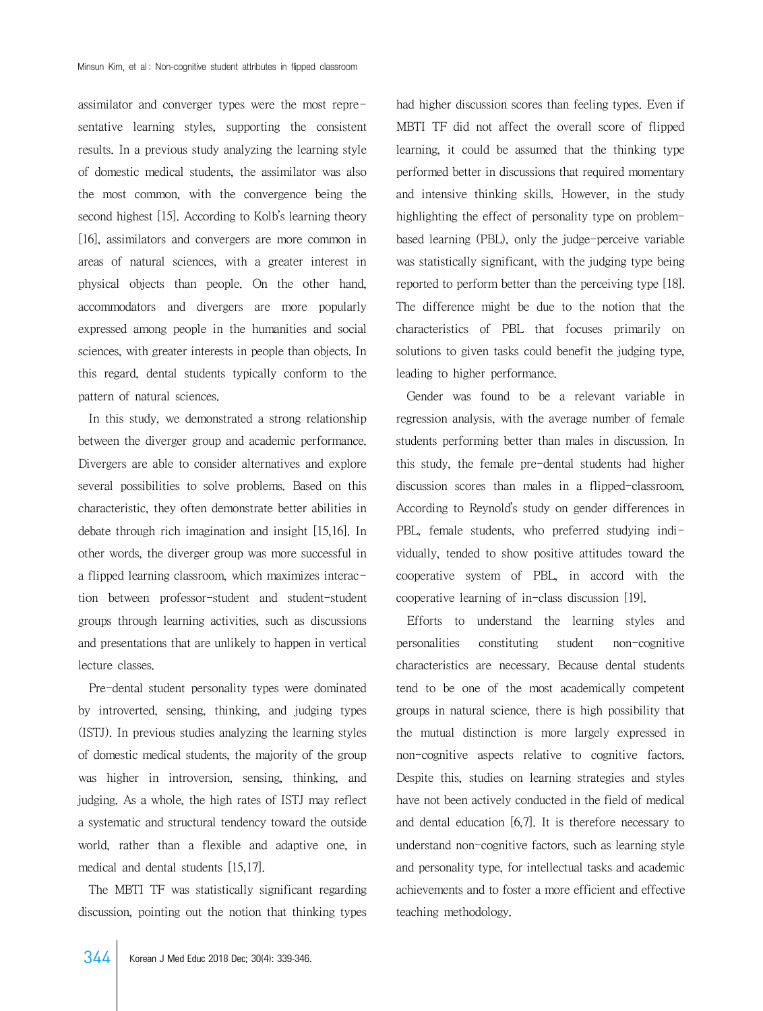assimilator and converger types were the most representative learning styles, supporting the consistent results. In a previous study analyzing the learning style of domestic medical students, the assimilator was also the most common, with the convergence being the second highest [15]. According to Kolb's learning theory [16], assimilators and convergers are more common in areas of natural sciences, with a greater interest in physical objects than people. On the other hand, accommodators and divergers are more popularly expressed among people in the humanities and social sciences, with greater interests in people than objects. In this regard, dental students typically conform to the pattern of natural sciences.

 In this study, we demonstrated a strong relationship between the diverger group and academic performance. Divergers are able to consider alternatives and explore several possibilities to solve problems. Based on this characteristic, they often demonstrate better abilities in debate through rich imagination and insight [15,16]. In other words, the diverger group was more successful in a flipped learning classroom, which maximizes interaction between professor-student and student-student groups through learning activities, such as discussions and presentations that are unlikely to happen in vertical lecture classes.

 Pre-dental student personality types were dominated by introverted, sensing, thinking, and judging types (ISTJ). In previous studies analyzing the learning styles of domestic medical students, the majority of the group was higher in introversion, sensing, thinking, and judging. As a whole, the high rates of ISTJ may reflect a systematic and structural tendency toward the outside world, rather than a flexible and adaptive one, in medical and dental students [15,17].

 The MBTI TF was statistically significant regarding discussion, pointing out the notion that thinking types had higher discussion scores than feeling types. Even if MBTI TF did not affect the overall score of flipped learning, it could be assumed that the thinking type performed better in discussions that required momentary and intensive thinking skills. However, in the study highlighting the effect of personality type on problembased learning (PBL), only the judge-perceive variable was statistically significant, with the judging type being reported to perform better than the perceiving type [18]. The difference might be due to the notion that the characteristics of PBL that focuses primarily on solutions to given tasks could benefit the judging type, leading to higher performance.

 Gender was found to be a relevant variable in regression analysis, with the average number of female students performing better than males in discussion. In this study, the female pre-dental students had higher discussion scores than males in a flipped-classroom. According to Reynold's study on gender differences in PBL, female students, who preferred studying individually, tended to show positive attitudes toward the cooperative system of PBL, in accord with the cooperative learning of in-class discussion [19].

 Efforts to understand the learning styles and personalities constituting student non-cognitive characteristics are necessary. Because dental students tend to be one of the most academically competent groups in natural science, there is high possibility that the mutual distinction is more largely expressed in non-cognitive aspects relative to cognitive factors. Despite this, studies on learning strategies and styles have not been actively conducted in the field of medical and dental education [6,7]. It is therefore necessary to understand non-cognitive factors, such as learning style and personality type, for intellectual tasks and academic achievements and to foster a more efficient and effective teaching methodology.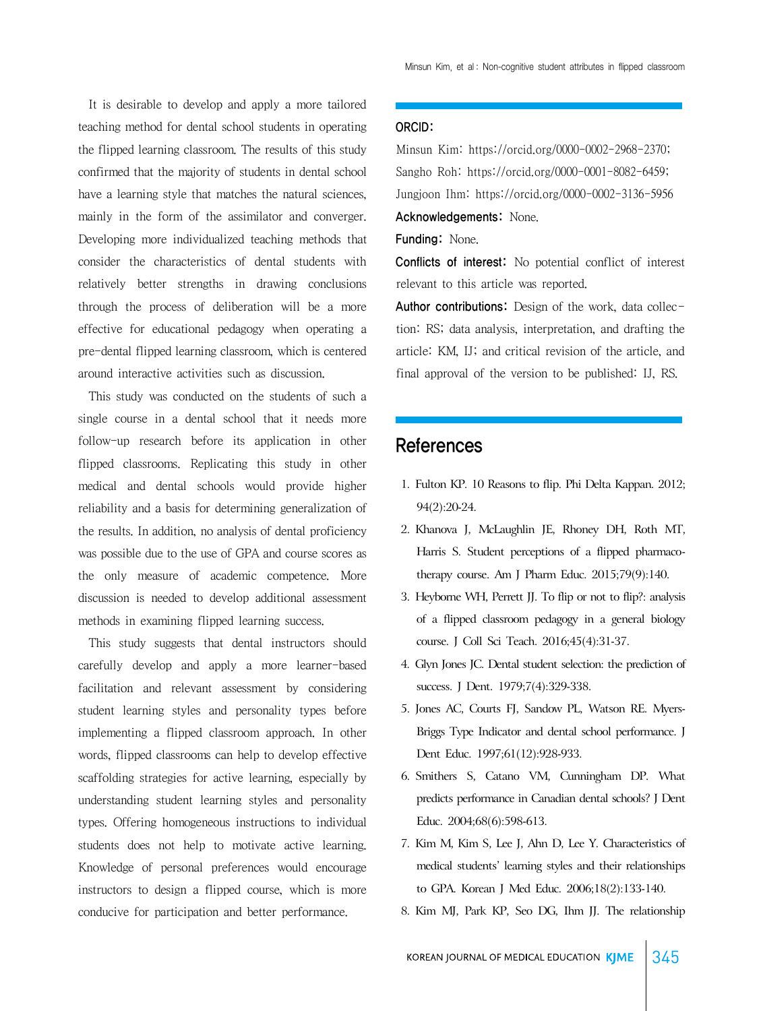It is desirable to develop and apply a more tailored teaching method for dental school students in operating the flipped learning classroom. The results of this study confirmed that the majority of students in dental school have a learning style that matches the natural sciences, mainly in the form of the assimilator and converger. Developing more individualized teaching methods that consider the characteristics of dental students with relatively better strengths in drawing conclusions through the process of deliberation will be a more effective for educational pedagogy when operating a pre-dental flipped learning classroom, which is centered around interactive activities such as discussion.

 This study was conducted on the students of such a single course in a dental school that it needs more follow-up research before its application in other flipped classrooms. Replicating this study in other medical and dental schools would provide higher reliability and a basis for determining generalization of the results. In addition, no analysis of dental proficiency was possible due to the use of GPA and course scores as the only measure of academic competence. More discussion is needed to develop additional assessment methods in examining flipped learning success.

 This study suggests that dental instructors should carefully develop and apply a more learner-based facilitation and relevant assessment by considering student learning styles and personality types before implementing a flipped classroom approach. In other words, flipped classrooms can help to develop effective scaffolding strategies for active learning, especially by understanding student learning styles and personality types. Offering homogeneous instructions to individual students does not help to motivate active learning. Knowledge of personal preferences would encourage instructors to design a flipped course, which is more conducive for participation and better performance.

#### ORCID:

Minsun Kim: https://orcid.org/0000-0002-2968-2370; Sangho Roh: https://orcid.org/0000-0001-8082-6459; Jungjoon Ihm: https://orcid.org/0000-0002-3136-5956 Acknowledgements: None.

Funding: None.

Conflicts of interest: No potential conflict of interest relevant to this article was reported.

Author contributions: Design of the work, data collection: RS; data analysis, interpretation, and drafting the article: KM, IJ; and critical revision of the article, and final approval of the version to be published: IJ, RS.

### **References**

- 1. Fulton KP. 10 Reasons to flip. Phi Delta Kappan. 2012; 94(2):20-24.
- 2. Khanova J, McLaughlin JE, Rhoney DH, Roth MT, Harris S. Student perceptions of a flipped pharmacotherapy course. Am J Pharm Educ. 2015;79(9):140.
- 3. Heyborne WH, Perrett JJ. To flip or not to flip?: analysis of a flipped classroom pedagogy in a general biology course. J Coll Sci Teach. 2016;45(4):31-37.
- 4. Glyn Jones JC. Dental student selection: the prediction of success. J Dent. 1979;7(4):329-338.
- 5. Jones AC, Courts FJ, Sandow PL, Watson RE. Myers-Briggs Type Indicator and dental school performance. J Dent Educ. 1997;61(12):928-933.
- 6. Smithers S, Catano VM, Cunningham DP. What predicts performance in Canadian dental schools? J Dent Educ. 2004;68(6):598-613.
- 7. Kim M, Kim S, Lee J, Ahn D, Lee Y. Characteristics of medical students' learning styles and their relationships to GPA. Korean J Med Educ. 2006;18(2):133-140.
- 8. Kim MJ, Park KP, Seo DG, Ihm JJ. The relationship